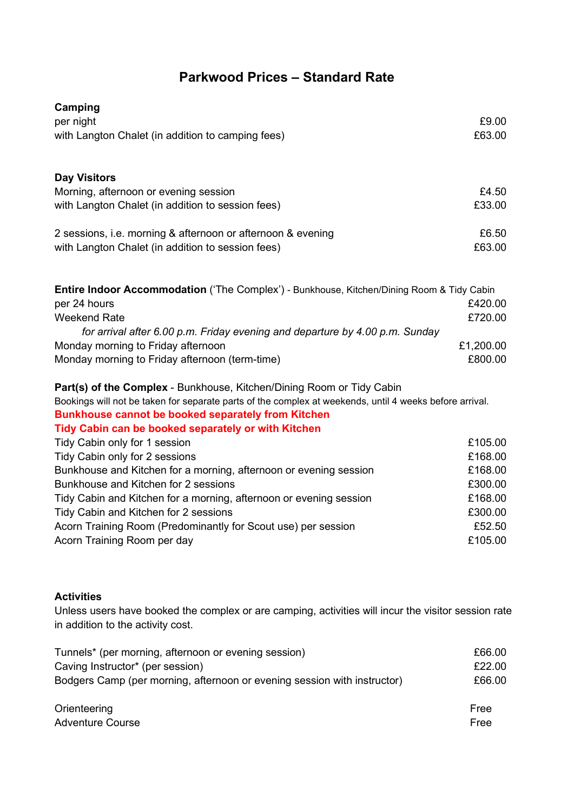## **Parkwood Prices – Standard Rate**

| Camping                                                                                                 |           |
|---------------------------------------------------------------------------------------------------------|-----------|
| per night                                                                                               | £9.00     |
| with Langton Chalet (in addition to camping fees)                                                       | £63.00    |
| <b>Day Visitors</b>                                                                                     |           |
| Morning, afternoon or evening session                                                                   | £4.50     |
| with Langton Chalet (in addition to session fees)                                                       | £33.00    |
| 2 sessions, i.e. morning & afternoon or afternoon & evening                                             | £6.50     |
| with Langton Chalet (in addition to session fees)                                                       | £63.00    |
| Entire Indoor Accommodation ('The Complex') - Bunkhouse, Kitchen/Dining Room & Tidy Cabin               |           |
| per 24 hours                                                                                            | £420.00   |
| <b>Weekend Rate</b>                                                                                     | £720.00   |
| for arrival after 6.00 p.m. Friday evening and departure by 4.00 p.m. Sunday                            |           |
| Monday morning to Friday afternoon                                                                      | £1,200.00 |
| Monday morning to Friday afternoon (term-time)                                                          | £800.00   |
| Part(s) of the Complex - Bunkhouse, Kitchen/Dining Room or Tidy Cabin                                   |           |
| Bookings will not be taken for separate parts of the complex at weekends, until 4 weeks before arrival. |           |
| <b>Bunkhouse cannot be booked separately from Kitchen</b>                                               |           |
| Tidy Cabin can be booked separately or with Kitchen                                                     |           |
| Tidy Cabin only for 1 session                                                                           | £105.00   |
| Tidy Cabin only for 2 sessions                                                                          | £168.00   |
| Bunkhouse and Kitchen for a morning, afternoon or evening session                                       | £168.00   |
| Bunkhouse and Kitchen for 2 sessions                                                                    | £300.00   |
| Tidy Cabin and Kitchen for a morning, afternoon or evening session                                      | £168.00   |
| Tidy Cabin and Kitchen for 2 sessions                                                                   | £300.00   |
| Acorn Training Room (Predominantly for Scout use) per session                                           | £52.50    |
| Acorn Training Room per day                                                                             | £105.00   |
|                                                                                                         |           |

## **Activities**

Unless users have booked the complex or are camping, activities will incur the visitor session rate in addition to the activity cost.

| Tunnels* (per morning, afternoon or evening session)                     | £66.00 |
|--------------------------------------------------------------------------|--------|
| Caving Instructor* (per session)                                         | £22.00 |
| Bodgers Camp (per morning, afternoon or evening session with instructor) | £66.00 |
| Orienteering                                                             | Free   |
| <b>Adventure Course</b>                                                  | Free   |